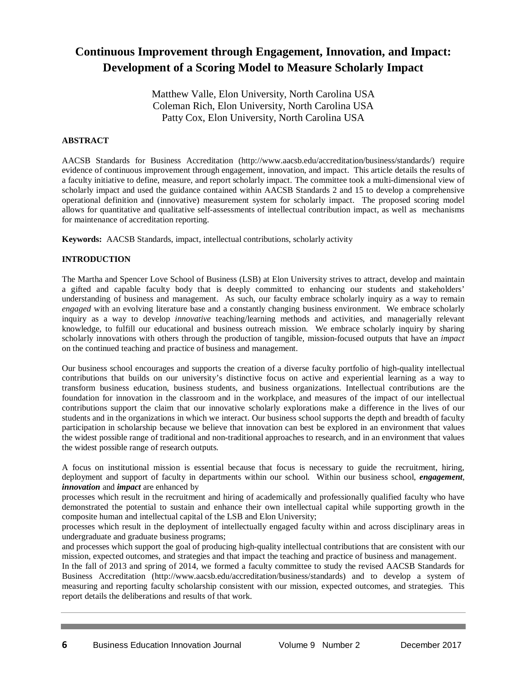# **Continuous Improvement through Engagement, Innovation, and Impact: Development of a Scoring Model to Measure Scholarly Impact**

Matthew Valle, Elon University, North Carolina USA Coleman Rich, Elon University, North Carolina USA Patty Cox, Elon University, North Carolina USA

## **ABSTRACT**

AACSB Standards for Business Accreditation (http://www.aacsb.edu/accreditation/business/standards/) require evidence of continuous improvement through engagement, innovation, and impact. This article details the results of a faculty initiative to define, measure, and report scholarly impact. The committee took a multi-dimensional view of scholarly impact and used the guidance contained within AACSB Standards 2 and 15 to develop a comprehensive operational definition and (innovative) measurement system for scholarly impact. The proposed scoring model allows for quantitative and qualitative self-assessments of intellectual contribution impact, as well as mechanisms for maintenance of accreditation reporting.

**Keywords:** AACSB Standards, impact, intellectual contributions, scholarly activity

## **INTRODUCTION**

The Martha and Spencer Love School of Business (LSB) at Elon University strives to attract, develop and maintain a gifted and capable faculty body that is deeply committed to enhancing our students and stakeholders' understanding of business and management. As such, our faculty embrace scholarly inquiry as a way to remain *engaged* with an evolving literature base and a constantly changing business environment. We embrace scholarly inquiry as a way to develop *innovative* teaching/learning methods and activities, and managerially relevant knowledge, to fulfill our educational and business outreach mission. We embrace scholarly inquiry by sharing scholarly innovations with others through the production of tangible, mission-focused outputs that have an *impact* on the continued teaching and practice of business and management.

Our business school encourages and supports the creation of a diverse faculty portfolio of high-quality intellectual contributions that builds on our university's distinctive focus on active and experiential learning as a way to transform business education, business students, and business organizations. Intellectual contributions are the foundation for innovation in the classroom and in the workplace, and measures of the impact of our intellectual contributions support the claim that our innovative scholarly explorations make a difference in the lives of our students and in the organizations in which we interact. Our business school supports the depth and breadth of faculty participation in scholarship because we believe that innovation can best be explored in an environment that values the widest possible range of traditional and non-traditional approaches to research, and in an environment that values the widest possible range of research outputs.

A focus on institutional mission is essential because that focus is necessary to guide the recruitment, hiring, deployment and support of faculty in departments within our school. Within our business school, *engagement*, *innovation* and *impact* are enhanced by

processes which result in the recruitment and hiring of academically and professionally qualified faculty who have demonstrated the potential to sustain and enhance their own intellectual capital while supporting growth in the composite human and intellectual capital of the LSB and Elon University;

processes which result in the deployment of intellectually engaged faculty within and across disciplinary areas in undergraduate and graduate business programs;

and processes which support the goal of producing high-quality intellectual contributions that are consistent with our mission, expected outcomes, and strategies and that impact the teaching and practice of business and management.

In the fall of 2013 and spring of 2014, we formed a faculty committee to study the revised AACSB Standards for Business Accreditation [\(http://www.aacsb.edu/accreditation/business/standards\)](http://www.aacsb.edu/accreditation/business/standards) and to develop a system of measuring and reporting faculty scholarship consistent with our mission, expected outcomes, and strategies. This report details the deliberations and results of that work.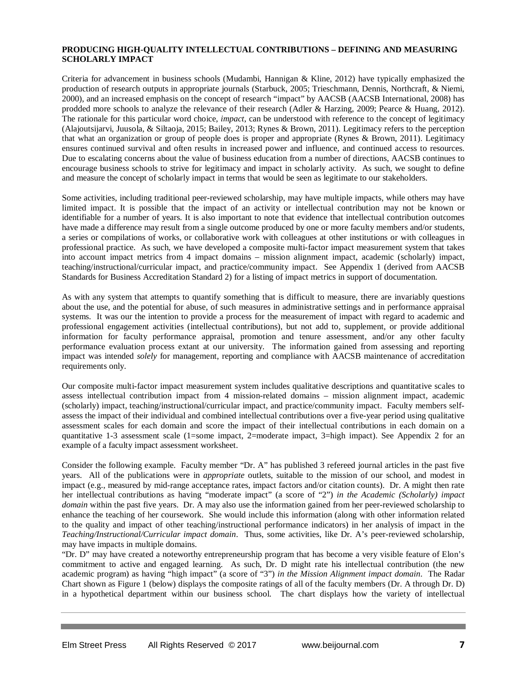## **PRODUCING HIGH-QUALITY INTELLECTUAL CONTRIBUTIONS – DEFINING AND MEASURING SCHOLARLY IMPACT**

Criteria for advancement in business schools (Mudambi, Hannigan & Kline, 2012) have typically emphasized the production of research outputs in appropriate journals (Starbuck, 2005; Trieschmann, Dennis, Northcraft, & Niemi, 2000), and an increased emphasis on the concept of research "impact" by AACSB (AACSB International, 2008) has prodded more schools to analyze the relevance of their research (Adler & Harzing, 2009; Pearce & Huang, 2012). The rationale for this particular word choice, *impact*, can be understood with reference to the concept of legitimacy (Alajoutsijarvi, Juusola, & Siltaoja, 2015; Bailey, 2013; Rynes & Brown, 2011). Legitimacy refers to the perception that what an organization or group of people does is proper and appropriate (Rynes & Brown, 2011). Legitimacy ensures continued survival and often results in increased power and influence, and continued access to resources. Due to escalating concerns about the value of business education from a number of directions, AACSB continues to encourage business schools to strive for legitimacy and impact in scholarly activity. As such, we sought to define and measure the concept of scholarly impact in terms that would be seen as legitimate to our stakeholders.

Some activities, including traditional peer-reviewed scholarship, may have multiple impacts, while others may have limited impact. It is possible that the impact of an activity or intellectual contribution may not be known or identifiable for a number of years. It is also important to note that evidence that intellectual contribution outcomes have made a difference may result from a single outcome produced by one or more faculty members and/or students, a series or compilations of works, or collaborative work with colleagues at other institutions or with colleagues in professional practice. As such, we have developed a composite multi-factor impact measurement system that takes into account impact metrics from 4 impact domains – mission alignment impact, academic (scholarly) impact, teaching/instructional/curricular impact, and practice/community impact. See Appendix 1 (derived from AACSB Standards for Business Accreditation Standard 2) for a listing of impact metrics in support of documentation.

As with any system that attempts to quantify something that is difficult to measure, there are invariably questions about the use, and the potential for abuse, of such measures in administrative settings and in performance appraisal systems. It was our the intention to provide a process for the measurement of impact with regard to academic and professional engagement activities (intellectual contributions), but not add to, supplement, or provide additional information for faculty performance appraisal, promotion and tenure assessment, and/or any other faculty performance evaluation process extant at our university. The information gained from assessing and reporting impact was intended *solely* for management, reporting and compliance with AACSB maintenance of accreditation requirements only.

Our composite multi-factor impact measurement system includes qualitative descriptions and quantitative scales to assess intellectual contribution impact from 4 mission-related domains – mission alignment impact, academic (scholarly) impact, teaching/instructional/curricular impact, and practice/community impact. Faculty members selfassess the impact of their individual and combined intellectual contributions over a five-year period using qualitative assessment scales for each domain and score the impact of their intellectual contributions in each domain on a quantitative 1-3 assessment scale (1=some impact, 2=moderate impact, 3=high impact). See Appendix 2 for an example of a faculty impact assessment worksheet.

Consider the following example. Faculty member "Dr. A" has published 3 refereed journal articles in the past five years. All of the publications were in *appropriate* outlets, suitable to the mission of our school, and modest in impact (e.g., measured by mid-range acceptance rates, impact factors and/or citation counts). Dr. A might then rate her intellectual contributions as having "moderate impact" (a score of "2") *in the Academic (Scholarly) impact domain* within the past five years. Dr. A may also use the information gained from her peer-reviewed scholarship to enhance the teaching of her coursework. She would include this information (along with other information related to the quality and impact of other teaching/instructional performance indicators) in her analysis of impact in the *Teaching/Instructional/Curricular impact domain*. Thus, some activities, like Dr. A's peer-reviewed scholarship, may have impacts in multiple domains.

"Dr. D" may have created a noteworthy entrepreneurship program that has become a very visible feature of Elon's commitment to active and engaged learning. As such, Dr. D might rate his intellectual contribution (the new academic program) as having "high impact" (a score of "3") *in the Mission Alignment impact domain*. The Radar Chart shown as Figure 1 (below) displays the composite ratings of all of the faculty members (Dr. A through Dr. D) in a hypothetical department within our business school. The chart displays how the variety of intellectual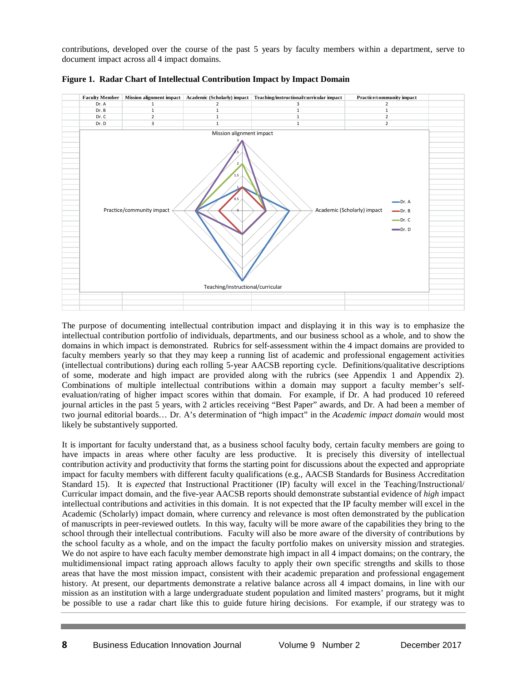contributions, developed over the course of the past 5 years by faculty members within a department, serve to document impact across all 4 impact domains.



**Figure 1. Radar Chart of Intellectual Contribution Impact by Impact Domain**

The purpose of documenting intellectual contribution impact and displaying it in this way is to emphasize the intellectual contribution portfolio of individuals, departments, and our business school as a whole, and to show the domains in which impact is demonstrated. Rubrics for self-assessment within the 4 impact domains are provided to faculty members yearly so that they may keep a running list of academic and professional engagement activities (intellectual contributions) during each rolling 5-year AACSB reporting cycle. Definitions/qualitative descriptions of some, moderate and high impact are provided along with the rubrics (see Appendix 1 and Appendix 2). Combinations of multiple intellectual contributions within a domain may support a faculty member's selfevaluation/rating of higher impact scores within that domain. For example, if Dr. A had produced 10 refereed journal articles in the past 5 years, with 2 articles receiving "Best Paper" awards, and Dr. A had been a member of two journal editorial boards… Dr. A's determination of "high impact" in the *Academic impact domain* would most likely be substantively supported.

It is important for faculty understand that, as a business school faculty body, certain faculty members are going to have impacts in areas where other faculty are less productive. It is precisely this diversity of intellectual contribution activity and productivity that forms the starting point for discussions about the expected and appropriate impact for faculty members with different faculty qualifications (e.g., AACSB Standards for Business Accreditation Standard 15). It is *expected* that Instructional Practitioner (IP) faculty will excel in the Teaching/Instructional/ Curricular impact domain, and the five-year AACSB reports should demonstrate substantial evidence of *high* impact intellectual contributions and activities in this domain. It is not expected that the IP faculty member will excel in the Academic (Scholarly) impact domain, where currency and relevance is most often demonstrated by the publication of manuscripts in peer-reviewed outlets. In this way, faculty will be more aware of the capabilities they bring to the school through their intellectual contributions. Faculty will also be more aware of the diversity of contributions by the school faculty as a whole, and on the impact the faculty portfolio makes on university mission and strategies. We do not aspire to have each faculty member demonstrate high impact in all 4 impact domains; on the contrary, the multidimensional impact rating approach allows faculty to apply their own specific strengths and skills to those areas that have the most mission impact, consistent with their academic preparation and professional engagement history. At present, our departments demonstrate a relative balance across all 4 impact domains, in line with our mission as an institution with a large undergraduate student population and limited masters' programs, but it might be possible to use a radar chart like this to guide future hiring decisions. For example, if our strategy was to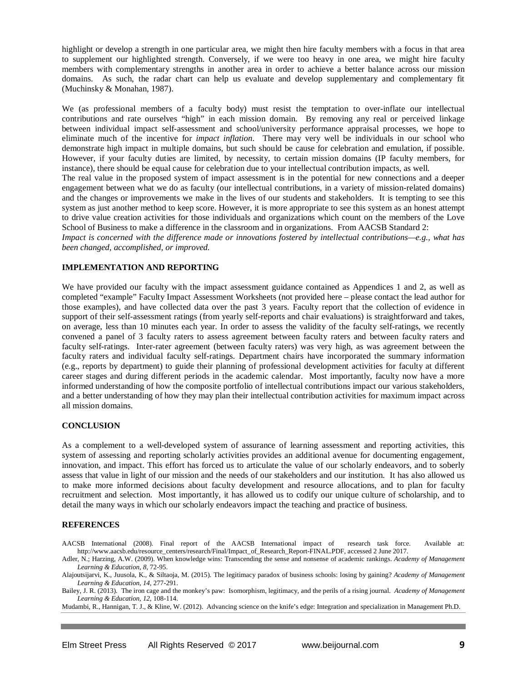highlight or develop a strength in one particular area, we might then hire faculty members with a focus in that area to supplement our highlighted strength. Conversely, if we were too heavy in one area, we might hire faculty members with complementary strengths in another area in order to achieve a better balance across our mission domains. As such, the radar chart can help us evaluate and develop supplementary and complementary fit (Muchinsky & Monahan, 1987).

We (as professional members of a faculty body) must resist the temptation to over-inflate our intellectual contributions and rate ourselves "high" in each mission domain. By removing any real or perceived linkage between individual impact self-assessment and school/university performance appraisal processes, we hope to eliminate much of the incentive for *impact inflation*. There may very well be individuals in our school who demonstrate high impact in multiple domains, but such should be cause for celebration and emulation, if possible. However, if your faculty duties are limited, by necessity, to certain mission domains (IP faculty members, for instance), there should be equal cause for celebration due to your intellectual contribution impacts, as well. The real value in the proposed system of impact assessment is in the potential for new connections and a deeper engagement between what we do as faculty (our intellectual contributions, in a variety of mission-related domains) and the changes or improvements we make in the lives of our students and stakeholders. It is tempting to see this system as just another method to keep score. However, it is more appropriate to see this system as an honest attempt to drive value creation activities for those individuals and organizations which count on the members of the Love School of Business to make a difference in the classroom and in organizations. From AACSB Standard 2: *Impact is concerned with the difference made or innovations fostered by intellectual contributions—e.g., what has* 

*been changed, accomplished, or improved.*

#### **IMPLEMENTATION AND REPORTING**

We have provided our faculty with the impact assessment guidance contained as Appendices 1 and 2, as well as completed "example" Faculty Impact Assessment Worksheets (not provided here – please contact the lead author for those examples), and have collected data over the past 3 years. Faculty report that the collection of evidence in support of their self-assessment ratings (from yearly self-reports and chair evaluations) is straightforward and takes, on average, less than 10 minutes each year. In order to assess the validity of the faculty self-ratings, we recently convened a panel of 3 faculty raters to assess agreement between faculty raters and between faculty raters and faculty self-ratings. Inter-rater agreement (between faculty raters) was very high, as was agreement between the faculty raters and individual faculty self-ratings. Department chairs have incorporated the summary information (e.g., reports by department) to guide their planning of professional development activities for faculty at different career stages and during different periods in the academic calendar. Most importantly, faculty now have a more informed understanding of how the composite portfolio of intellectual contributions impact our various stakeholders, and a better understanding of how they may plan their intellectual contribution activities for maximum impact across all mission domains.

#### **CONCLUSION**

As a complement to a well-developed system of assurance of learning assessment and reporting activities, this system of assessing and reporting scholarly activities provides an additional avenue for documenting engagement, innovation, and impact. This effort has forced us to articulate the value of our scholarly endeavors, and to soberly assess that value in light of our mission and the needs of our stakeholders and our institution. It has also allowed us to make more informed decisions about faculty development and resource allocations, and to plan for faculty recruitment and selection. Most importantly, it has allowed us to codify our unique culture of scholarship, and to detail the many ways in which our scholarly endeavors impact the teaching and practice of business.

#### **REFERENCES**

AACSB International (2008). Final report of the AACSB International impact of research task force. Available at: [http://www.aacsb.edu/resource\\_centers/r](http://www.aacsb.edu/resource_centers/)esearch/Final/Impact\_of\_Research\_Report-FINAL.PDF, accessed 2 June 2017.

Adler, N.; Harzing, A.W. (2009). When knowledge wins: Transcending the sense and nonsense of academic rankings. *Academy of Management Learning & Education*, *8*, 72-95.

Alajoutsijarvi, K., Juusola, K., & Siltaoja, M. (2015). The legitimacy paradox of business schools: losing by gaining? *Academy of Management Learning & Education, 14*, 277-291.

Bailey, J. R. (2013). The iron cage and the monkey's paw: Isomorphism, legitimacy, and the perils of a rising journal. *Academy of Management Learning & Education, 12*, 108-114.

Mudambi, R., Hannigan, T. J., & Kline, W. (2012). Advancing science on the knife's edge: Integration and specialization in Management Ph.D.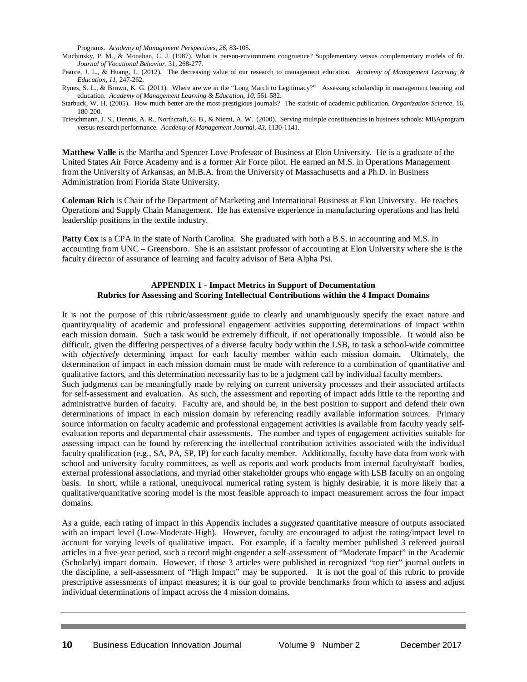Programs. *Academy of Management Perspectives*, *26*, 83-105.

Muchinsky, P. M., & Monahan, C. J. (1987). What is person-environment congruence? Supplementary versus complementary models of fit. *Journal of Vocational Behavior*, 31, 268-277.

Pearce, J. L., & Huang, L. (2012). The decreasing value of our research to management education. *Academy of Management Learning & Education*, *11*, 247-262.

Rynes, S. L., & Brown, K. G. (2011). Where are we in the "Long March to Legitimacy?" Assessing scholarship in management learning and education. *Academy of Management Learning & Education*, *10*, 561-582.

Starbuck, W. H. (2005). How much better are the most prestigious journals? The statistic of academic publication. *Organization Science,* 16, 180-200.

Trieschmann, J. S., Dennis, A. R., Northcraft, G. B., & Niemi, A. W. (2000). Serving multiple constituencies in business schools: MBAprogram versus research performance. *Academy of Management Journal, 43*, 1130-1141.

**Matthew Valle** is the Martha and Spencer Love Professor of Business at Elon University. He is a graduate of the United States Air Force Academy and is a former Air Force pilot. He earned an M.S. in Operations Management from the University of Arkansas, an M.B.A. from the University of Massachusetts and a Ph.D. in Business Administration from Florida State University.

**Coleman Rich** is Chair of the Department of Marketing and International Business at Elon University. He teaches Operations and Supply Chain Management. He has extensive experience in manufacturing operations and has held leadership positions in the textile industry.

**Patty Cox** is a CPA in the state of North Carolina. She graduated with both a B.S. in accounting and M.S. in accounting from UNC – Greensboro. She is an assistant professor of accounting at Elon University where she is the faculty director of assurance of learning and faculty advisor of Beta Alpha Psi.

#### **APPENDIX 1 - Impact Metrics in Support of Documentation Rubrics for Assessing and Scoring Intellectual Contributions within the 4 Impact Domains**

It is not the purpose of this rubric/assessment guide to clearly and unambiguously specify the exact nature and quantity/quality of academic and professional engagement activities supporting determinations of impact within each mission domain. Such a task would be extremely difficult, if not operationally impossible. It would also be difficult, given the differing perspectives of a diverse faculty body within the LSB, to task a school-wide committee with *objectively* determining impact for each faculty member within each mission domain. Ultimately, the determination of impact in each mission domain must be made with reference to a combination of quantitative and qualitative factors, and this determination necessarily has to be a judgment call by individual faculty members. Such judgments can be meaningfully made by relying on current university processes and their associated artifacts for self-assessment and evaluation. As such, the assessment and reporting of impact adds little to the reporting and administrative burden of faculty. Faculty are, and should be, in the best position to support and defend their own determinations of impact in each mission domain by referencing readily available information sources. Primary source information on faculty academic and professional engagement activities is available from faculty yearly selfevaluation reports and departmental chair assessments. The number and types of engagement activities suitable for assessing impact can be found by referencing the intellectual contribution activities associated with the individual faculty qualification (e.g., SA, PA, SP, IP) for each faculty member. Additionally, faculty have data from work with school and university faculty committees, as well as reports and work products from internal faculty/staff bodies, external professional associations, and myriad other stakeholder groups who engage with LSB faculty on an ongoing basis. In short, while a rational, unequivocal numerical rating system is highly desirable, it is more likely that a qualitative/quantitative scoring model is the most feasible approach to impact measurement across the four impact domains.

As a guide, each rating of impact in this Appendix includes a *suggested* quantitative measure of outputs associated with an impact level (Low-Moderate-High). However, faculty are encouraged to adjust the rating/impact level to account for varying levels of qualitative impact. For example, if a faculty member published 3 refereed journal articles in a five-year period, such a record might engender a self-assessment of "Moderate Impact" in the Academic (Scholarly) impact domain. However, if those 3 articles were published in recognized "top tier" journal outlets in the discipline, a self-assessment of "High Impact" may be supported. It is not the goal of this rubric to provide prescriptive assessments of impact measures; it is our goal to provide benchmarks from which to assess and adjust individual determinations of impact across the 4 mission domains.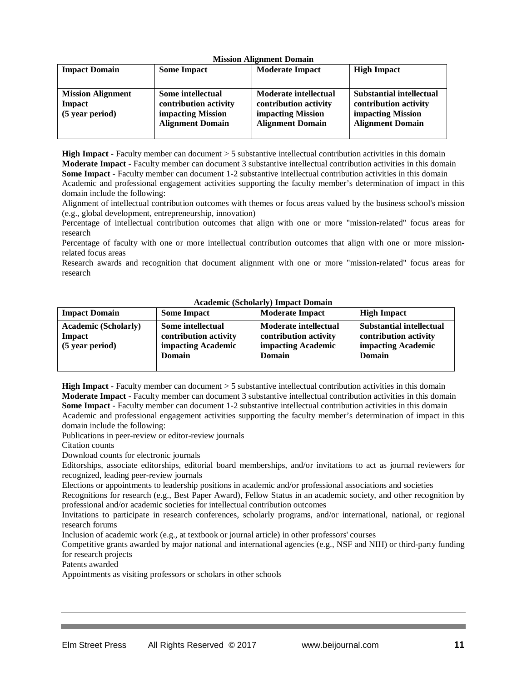| <b>Impact Domain</b>     | <b>Some Impact</b>      | <b>Moderate Impact</b>   | <b>High Impact</b>       |
|--------------------------|-------------------------|--------------------------|--------------------------|
|                          |                         |                          |                          |
| <b>Mission Alignment</b> | Some intellectual       | Moderate intellectual    | Substantial intellectual |
| <b>Impact</b>            | contribution activity   | contribution activity    | contribution activity    |
| (5 year period)          | impacting Mission       | <b>impacting Mission</b> | impacting Mission        |
|                          | <b>Alignment Domain</b> | <b>Alignment Domain</b>  | <b>Alignment Domain</b>  |
|                          |                         |                          |                          |

**High Impact** - Faculty member can document > 5 substantive intellectual contribution activities in this domain **Moderate Impact** - Faculty member can document 3 substantive intellectual contribution activities in this domain **Some Impact** - Faculty member can document 1-2 substantive intellectual contribution activities in this domain Academic and professional engagement activities supporting the faculty member's determination of impact in this domain include the following:

Alignment of intellectual contribution outcomes with themes or focus areas valued by the business school's mission (e.g., global development, entrepreneurship, innovation)

Percentage of intellectual contribution outcomes that align with one or more "mission-related" focus areas for research

Percentage of faculty with one or more intellectual contribution outcomes that align with one or more missionrelated focus areas

Research awards and recognition that document alignment with one or more "mission-related" focus areas for research

| <b>Impact Domain</b>                                     | <b>Some Impact</b>                                                                | <b>Moderate Impact</b>                                                                | <b>High Impact</b>                                                                       |
|----------------------------------------------------------|-----------------------------------------------------------------------------------|---------------------------------------------------------------------------------------|------------------------------------------------------------------------------------------|
| <b>Academic (Scholarly)</b><br>Impact<br>(5 year period) | Some intellectual<br>contribution activity<br>impacting Academic<br><b>Domain</b> | <b>Moderate intellectual</b><br>contribution activity<br>impacting Academic<br>Domain | <b>Substantial intellectual</b><br>contribution activity<br>impacting Academic<br>Domain |

#### **Academic (Scholarly) Impact Domain**

**High Impact** - Faculty member can document > 5 substantive intellectual contribution activities in this domain **Moderate Impact** - Faculty member can document 3 substantive intellectual contribution activities in this domain **Some Impact** - Faculty member can document 1-2 substantive intellectual contribution activities in this domain Academic and professional engagement activities supporting the faculty member's determination of impact in this domain include the following:

Publications in peer-review or editor-review journals

Citation counts

Download counts for electronic journals

Editorships, associate editorships, editorial board memberships, and/or invitations to act as journal reviewers for recognized, leading peer-review journals

Elections or appointments to leadership positions in academic and/or professional associations and societies

Recognitions for research (e.g., Best Paper Award), Fellow Status in an academic society, and other recognition by professional and/or academic societies for intellectual contribution outcomes

Invitations to participate in research conferences, scholarly programs, and/or international, national, or regional research forums

Inclusion of academic work (e.g., at textbook or journal article) in other professors' courses

Competitive grants awarded by major national and international agencies (e.g., NSF and NIH) or third-party funding for research projects

Patents awarded

Appointments as visiting professors or scholars in other schools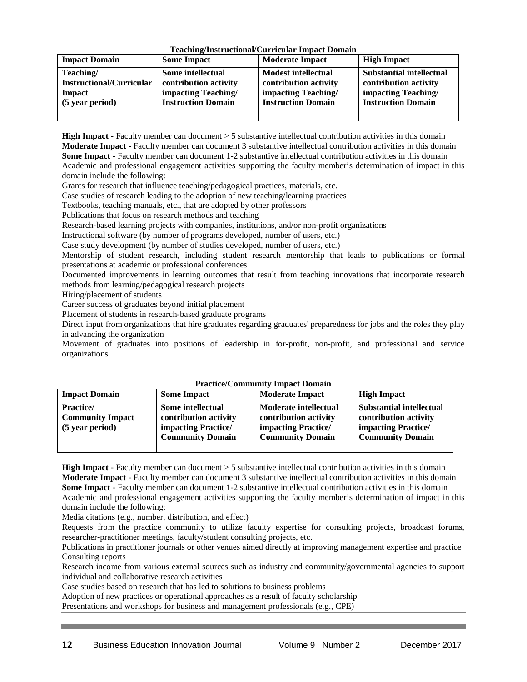| Teaching/Instructional/Curricular Impact Domain |  |  |
|-------------------------------------------------|--|--|
|                                                 |  |  |

| <b>Impact Domain</b>                                                      | <b>Some Impact</b>                                                                             | <b>Moderate Impact</b>                                                                                  | <b>High Impact</b>                                                                                           |
|---------------------------------------------------------------------------|------------------------------------------------------------------------------------------------|---------------------------------------------------------------------------------------------------------|--------------------------------------------------------------------------------------------------------------|
| Teaching/<br><b>Instructional/Curricular</b><br>Impact<br>(5 year period) | Some intellectual<br>contribution activity<br>impacting Teaching/<br><b>Instruction Domain</b> | <b>Modest intellectual</b><br>contribution activity<br>impacting Teaching/<br><b>Instruction Domain</b> | <b>Substantial intellectual</b><br>contribution activity<br>impacting Teaching/<br><b>Instruction Domain</b> |
|                                                                           |                                                                                                |                                                                                                         |                                                                                                              |

**High Impact** - Faculty member can document > 5 substantive intellectual contribution activities in this domain **Moderate Impact** - Faculty member can document 3 substantive intellectual contribution activities in this domain **Some Impact** - Faculty member can document 1-2 substantive intellectual contribution activities in this domain Academic and professional engagement activities supporting the faculty member's determination of impact in this domain include the following:

Grants for research that influence teaching/pedagogical practices, materials, etc.

Case studies of research leading to the adoption of new teaching/learning practices

Textbooks, teaching manuals, etc., that are adopted by other professors

Publications that focus on research methods and teaching

Research-based learning projects with companies, institutions, and/or non-profit organizations

Instructional software (by number of programs developed, number of users, etc.)

Case study development (by number of studies developed, number of users, etc.)

Mentorship of student research, including student research mentorship that leads to publications or formal presentations at academic or professional conferences

Documented improvements in learning outcomes that result from teaching innovations that incorporate research methods from learning/pedagogical research projects

Hiring/placement of students

Career success of graduates beyond initial placement

Placement of students in research-based graduate programs

Direct input from organizations that hire graduates regarding graduates' preparedness for jobs and the roles they play in advancing the organization

Movement of graduates into positions of leadership in for-profit, non-profit, and professional and service organizations

| т тасисс/ соннципту тираст Domain                              |                                                                                                     |                                                                                                                |                                                                                                            |
|----------------------------------------------------------------|-----------------------------------------------------------------------------------------------------|----------------------------------------------------------------------------------------------------------------|------------------------------------------------------------------------------------------------------------|
| <b>Impact Domain</b>                                           | <b>Some Impact</b>                                                                                  | <b>Moderate Impact</b>                                                                                         | <b>High Impact</b>                                                                                         |
| <b>Practice/</b><br><b>Community Impact</b><br>(5 year period) | Some intellectual<br>contribution activity<br><b>impacting Practice/</b><br><b>Community Domain</b> | <b>Moderate intellectual</b><br>contribution activity<br><b>impacting Practice/</b><br><b>Community Domain</b> | <b>Substantial intellectual</b><br>contribution activity<br>impacting Practice/<br><b>Community Domain</b> |

# **Practice/Community Impact Domain**

**High Impact** - Faculty member can document > 5 substantive intellectual contribution activities in this domain **Moderate Impact** - Faculty member can document 3 substantive intellectual contribution activities in this domain **Some Impact** - Faculty member can document 1-2 substantive intellectual contribution activities in this domain Academic and professional engagement activities supporting the faculty member's determination of impact in this domain include the following:

Media citations (e.g., number, distribution, and effect)

Requests from the practice community to utilize faculty expertise for consulting projects, broadcast forums, researcher-practitioner meetings, faculty/student consulting projects, etc.

Publications in practitioner journals or other venues aimed directly at improving management expertise and practice Consulting reports

Research income from various external sources such as industry and community/governmental agencies to support individual and collaborative research activities

Case studies based on research that has led to solutions to business problems

Adoption of new practices or operational approaches as a result of faculty scholarship

Presentations and workshops for business and management professionals (e.g., CPE)